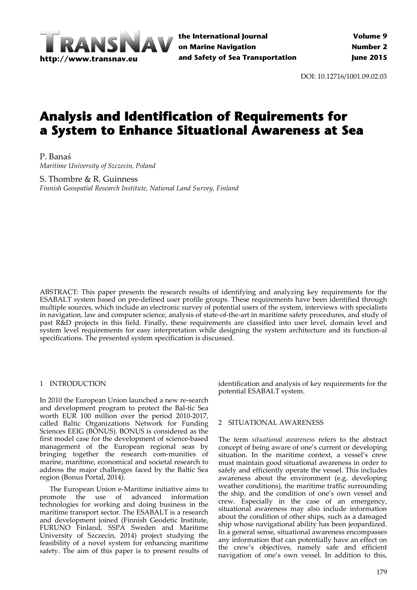

**the International Journal on Marine Navigation and Safety of Sea Transportation**

DOI: 10.12716/1001.09.02.03

# **Analysis and Identification of Requirements for a System to Enhance Situational Awareness at Sea**

P. Banaś *Maritime University of Szczecin, Poland*

S. Thombre & R. Guinness *Finnish Geospatial Research Institute, National Land Survey, Finland*

ABSTRACT: This paper presents the research results of identifying and analyzing key requirements for the ESABALT system based on pre‐defined user profile groups. These requirements have been identified through multiple sources, which include an electronic survey of potential users of the system, interviews with specialists in navigation, law and computer science, analysis of state‐of‐the‐art in maritime safety procedures, and study of past R&D projects in this field. Finally, these requirements are classified into user level, domain level and system level requirements for easy interpretation while designing the system architecture and its function-al specifications. The presented system specification is discussed.

#### 1 INTRODUCTION

In 2010 the European Union launched a new re‐search and development program to protect the Bal‐tic Sea worth EUR 100 million over the period 2010‐2017, called Baltic Organizations Network for Funding Sciences EEIG (BONUS). BONUS is considered as the first model case for the development of science‐based management of the European regional seas by bringing together the research com-munities of marine, maritime, economical and societal research to address the major challenges faced by the Baltic Sea region (Bonus Portal, 2014).

The European Union e‐Maritime initiative aims to promote the use of advanced information technologies for working and doing business in the maritime transport sector. The ESABALT is a research and development joined (Finnish Geodetic Institute, FURUNO Finland, SSPA Sweden and Maritime University of Szczecin, 2014) project studying the feasibility of a novel system for enhancing maritime safety. The aim of this paper is to present results of

identification and analysis of key requirements for the potential ESABALT system.

#### 2 SITUATIONAL AWARENESS

The term *situational awareness* refers to the abstract concept of being aware of one's current or developing situation. In the maritime context, a vessel's crew must maintain good situational awareness in order to safely and efficiently operate the vessel. This includes awareness about the environment (e.g. developing weather conditions), the maritime traffic surrounding the ship, and the condition of one's own vessel and crew. Especially in the case of an emergency, situational awareness may also include information about the condition of other ships, such as a damaged ship whose navigational ability has been jeopardized. In a general sense, situational awareness encompasses any information that can potentially have an effect on the crew's objectives, namely safe and efficient navigation of one's own vessel. In addition to this,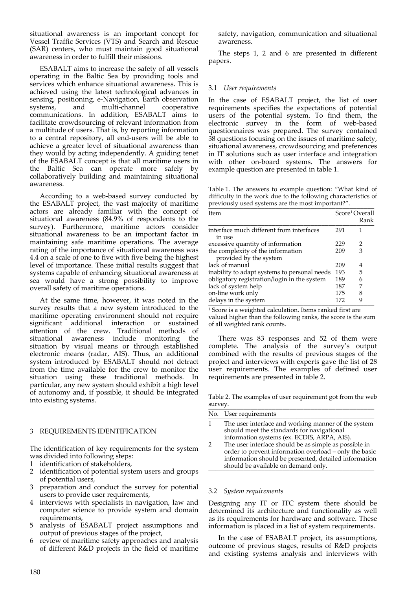situational awareness is an important concept for Vessel Traffic Services (VTS) and Search and Rescue (SAR) centers, who must maintain good situational awareness in order to fulfill their missions.

ESABALT aims to increase the safety of all vessels operating in the Baltic Sea by providing tools and services which enhance situational awareness. This is achieved using the latest technological advances in sensing, positioning, e‐Navigation, Earth observation systems, and multi-channel cooperative communications. In addition, ESABALT aims to facilitate crowdsourcing of relevant information from a multitude of users. That is, by reporting information to a central repository, all end‐users will be able to achieve a greater level of situational awareness than they would by acting independently. A guiding tenet of the ESABALT concept is that all maritime users in the Baltic Sea can operate more safely by collaboratively building and maintaining situational awareness.

According to a web‐based survey conducted by the ESABALT project, the vast majority of maritime actors are already familiar with the concept of situational awareness (84.9% of respondents to the survey). Furthermore, maritime actors consider situational awareness to be an important factor in maintaining safe maritime operations. The average rating of the importance of situational awareness was 4.4 on a scale of one to five with five being the highest level of importance. These initial results suggest that systems capable of enhancing situational awareness at sea would have a strong possibility to improve overall safety of maritime operations.

At the same time, however, it was noted in the survey results that a new system introduced to the maritime operating environment should not require significant additional interaction or sustained attention of the crew. Traditional methods of situational awareness include monitoring the situation by visual means or through established electronic means (radar, AIS). Thus, an additional system introduced by ESABALT should not detract from the time available for the crew to monitor the situation using these traditional methods. In particular, any new system should exhibit a high level of autonomy and, if possible, it should be integrated into existing systems.

# 3 REQUIREMENTS IDENTIFICATION

The identification of key requirements for the system was divided into following steps:

- 
- 1 identification of stakeholders,<br>2 identification of potential syst identification of potential system users and groups of potential users,
- 3 preparation and conduct the survey for potential users to provide user requirements,
- 4 interviews with specialists in navigation, law and computer science to provide system and domain requirements,
- 5 analysis of ESABALT project assumptions and output of previous stages of the project,
- 6 review of maritime safety approaches and analysis of different R&D projects in the field of maritime

safety, navigation, communication and situational awareness.

The steps 1, 2 and 6 are presented in different papers.

## 3.1 *User requirements*

In the case of ESABALT project, the list of user requirements specifies the expectations of potential users of the potential system. To find them, the electronic survey in the form of web‐based questionnaires was prepared. The survey contained 38 questions focusing on the issues of maritime safety, situational awareness, crowdsourcing and preferences in IT solutions such as user interface and integration with other on‐board systems. The answers for example question are presented in table 1.

Table 1. The answers to example question: "What kind of difficulty in the work due to the following characteristics of previously used systems are the most important?".

| Item                                         |     | Score <sup>1</sup> Overall<br>Rank |
|----------------------------------------------|-----|------------------------------------|
| interface much different from interfaces     | 291 | 1                                  |
| in use                                       |     |                                    |
| excessive quantity of information            | 229 | 2                                  |
| the complexity of the information            | 209 | 3                                  |
| provided by the system                       |     |                                    |
| lack of manual                               | 209 | 4                                  |
| inability to adapt systems to personal needs | 193 | 5                                  |
| obligatory registration/login in the system  | 189 | 6                                  |
| lack of system help                          | 187 | 7                                  |
| on-line work only                            | 175 | 8                                  |
| delays in the system                         | 172 | 9                                  |

<sup>1</sup> Score is a weighted calculation. Items ranked first are valued higher than the following ranks, the score is the sum of all weighted rank counts.

There was 83 responses and 52 of them were complete. The analysis of the survey's output combined with the results of previous stages of the project and interviews with experts gave the list of 28 user requirements. The examples of defined user requirements are presented in table 2.

Table 2. The examples of user requirement got from the web survey. \_\_\_\_\_\_\_\_\_\_\_\_\_\_\_\_\_\_\_\_\_\_\_\_\_\_\_\_\_\_\_\_\_\_\_\_\_\_\_\_\_\_\_\_\_\_\_

| No. User requirements                                                                                                                                                                                           |
|-----------------------------------------------------------------------------------------------------------------------------------------------------------------------------------------------------------------|
| The user interface and working manner of the system<br>should meet the standards for navigational<br>information systems (ex. ECDIS, ARPA, AIS).                                                                |
| The user interface should be as simple as possible in<br>order to prevent information overload - only the basic<br>information should be presented, detailed information<br>should be available on demand only. |

## 3.2 *System requirements*

Designing any IT or ITC system there should be determined its architecture and functionality as well as its requirements for hardware and software. These information is placed in a list of system requirements.

In the case of ESABALT project, its assumptions, outcome of previous stages, results of R&D projects and existing systems analysis and interviews with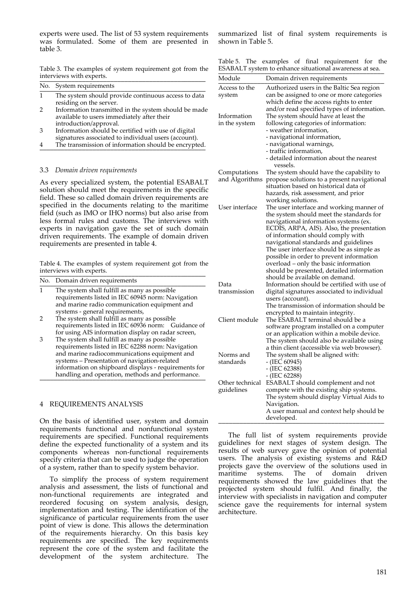experts were used. The list of 53 system requirements was formulated. Some of them are presented in table 3.

Table 3. The examples of system requirement got from the interviews with experts.

| No. System requirements                                                        |
|--------------------------------------------------------------------------------|
| The system should provide continuous access to data<br>residing on the server. |

- 2 Information transmitted in the system should be made available to users immediately after their introduction/approval.
- 3 Information should be certified with use of digital signatures associated to individual users (account).
- 4 The transmission of information should be encrypted.

#### 3.3 *Domain driven requirements*

As every specialized system, the potential ESABALT solution should meet the requirements in the specific field. These so called domain driven requirements are specified in the documents relating to the maritime field (such as IMO or IHO norms) but also arise from less formal rules and customs. The interviews with experts in navigation gave the set of such domain driven requirements. The example of domain driven requirements are presented in table 4.

Table 4. The examples of system requirement got from the interviews with experts.

|   | No. Domain driven requirements                                                                                                                                                                                                                                                                                |  |
|---|---------------------------------------------------------------------------------------------------------------------------------------------------------------------------------------------------------------------------------------------------------------------------------------------------------------|--|
|   | The system shall fulfill as many as possible.<br>requirements listed in IEC 60945 norm: Navigation<br>and marine radio communication equipment and                                                                                                                                                            |  |
|   | systems - general requirements,<br>The system shall fulfill as many as possible                                                                                                                                                                                                                               |  |
|   | requirements listed in IEC 60936 norm: Guidance of<br>for using AIS information display on radar screen,                                                                                                                                                                                                      |  |
| З | The system shall fulfill as many as possible<br>requirements listed in IEC 62288 norm: Navigation<br>and marine radiocommunications equipment and<br>systems - Presentation of navigation-related<br>information on shipboard displays - requirements for<br>handling and operation, methods and performance. |  |

#### 4 REQUIREMENTS ANALYSIS

On the basis of identified user, system and domain requirements functional and nonfunctional system requirements are specified. Functional requirements define the expected functionality of a system and its components whereas non-functional requirements specify criteria that can be used to judge the operation of a system, rather than to specify system behavior.

To simplify the process of system requirement analysis and assessment, the lists of functional and non‐functional requirements are integrated and reordered focusing on system analysis, design, implementation and testing. The identification of the significance of particular requirements from the user point of view is done. This allows the determination of the requirements hierarchy. On this basis key requirements are specified. The key requirements represent the core of the system and facilitate the development of the system architecture. The

summarized list of final system requirements is shown in Table 5.

|  |  | Table 5. The examples of final requirement for the      |  |
|--|--|---------------------------------------------------------|--|
|  |  | ESABALT system to enhance situational awareness at sea. |  |

| Module                         | Domain driven requirements                                                                                                                                                                                                                                                                                                                                                                                                                                                |
|--------------------------------|---------------------------------------------------------------------------------------------------------------------------------------------------------------------------------------------------------------------------------------------------------------------------------------------------------------------------------------------------------------------------------------------------------------------------------------------------------------------------|
| Access to the<br>system        | Authorized users in the Baltic Sea region<br>can be assigned to one or more categories<br>which define the access rights to enter<br>and/or read specified types of information.                                                                                                                                                                                                                                                                                          |
| Information<br>in the system   | The system should have at least the<br>following categories of information:<br>- weather information,<br>- navigational information,<br>- navigational warnings,<br>- traffic information,<br>- detailed information about the nearest<br>vessels.                                                                                                                                                                                                                        |
| Computations<br>and Algorithms | The system should have the capability to<br>propose solutions to a present navigational<br>situation based on historical data of<br>hazards, risk assessment, and prior<br>working solutions.                                                                                                                                                                                                                                                                             |
| User interface                 | The user interface and working manner of<br>the system should meet the standards for<br>navigational information systems (ex.<br>ECDIS, ARPA, AIS). Also, the presentation<br>of information should comply with<br>navigational standards and guidelines<br>The user interface should be as simple as<br>possible in order to prevent information<br>overload - only the basic information<br>should be presented, detailed information<br>should be available on demand. |
| Data<br>transmission           | Information should be certified with use of<br>digital signatures associated to individual<br>users (account).<br>The transmission of information should be<br>encrypted to maintain integrity.                                                                                                                                                                                                                                                                           |
| Client module                  | The ESABALT terminal should be a<br>software program installed on a computer<br>or an application within a mobile device.<br>The system should also be available using<br>a thin client (accessible via web browser).                                                                                                                                                                                                                                                     |
| Norms and<br>standards         | The system shall be aligned with:<br>$-$ (IEC 60945)<br>- (IEC 62388)<br>$-$ (IEC 62288)                                                                                                                                                                                                                                                                                                                                                                                  |
| Other technical<br>guidelines  | ESABALT should complement and not<br>compete with the existing ship systems.<br>The system should display Virtual Aids to<br>Navigation.<br>A user manual and context help should be<br>developed.                                                                                                                                                                                                                                                                        |

The full list of system requirements provide guidelines for next stages of system design. The results of web survey gave the opinion of potential users. The analysis of existing systems and R&D projects gave the overview of the solutions used in maritime systems. The of domain driven requirements showed the law guidelines that the projected system should fulfil. And finally, the interview with specialists in navigation and computer science gave the requirements for internal system architecture.